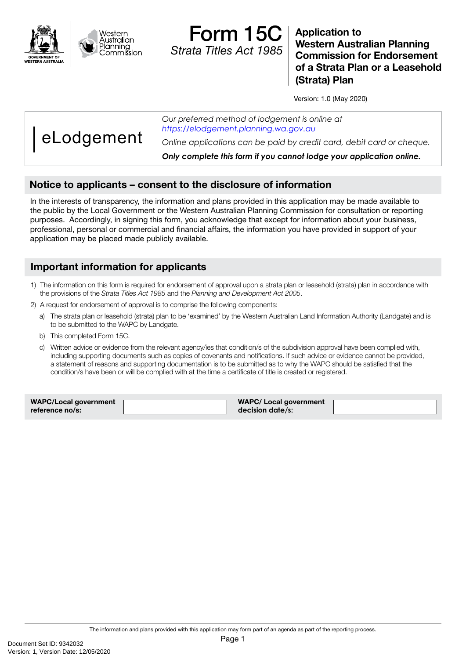



**Application to Western Australian Planning Commission for Endorsement of a Strata Plan or a Leasehold (Strata) Plan**

Version: 1.0 (May 2020)

eLodgement

*Our preferred method of lodgement is online at https://elodgement.planning.wa.gov.au*

*Online applications can be paid by credit card, debit card or cheque.*

*Only complete this form if you cannot lodge your application online.*

# Notice to applicants – consent to the disclosure of information

In the interests of transparency, the information and plans provided in this application may be made available to the public by the Local Government or the Western Australian Planning Commission for consultation or reporting purposes. Accordingly, in signing this form, you acknowledge that except for information about your business, professional, personal or commercial and financial affairs, the information you have provided in support of your application may be placed made publicly available.

### Important information for applicants

- 1) The information on this form is required for endorsement of approval upon a strata plan or leasehold (strata) plan in accordance with the provisions of the *Strata Titles Act 1985* and the *Planning and Development Act 2005*.
- 2) A request for endorsement of approval is to comprise the following components:
	- a) The strata plan or leasehold (strata) plan to be 'examined' by the Western Australian Land Information Authority (Landgate) and is to be submitted to the WAPC by Landgate.
	- b) This completed Form 15C.
	- c) Written advice or evidence from the relevant agency/ies that condition/s of the subdivision approval have been complied with, including supporting documents such as copies of covenants and notifications. If such advice or evidence cannot be provided, a statement of reasons and supporting documentation is to be submitted as to why the WAPC should be satisfied that the condition/s have been or will be complied with at the time a certificate of title is created or registered.

| <b>WAPC/Local government</b> | <b>WAPC/ Local government</b> |  |
|------------------------------|-------------------------------|--|
| reference no/s:              | decision date/s:              |  |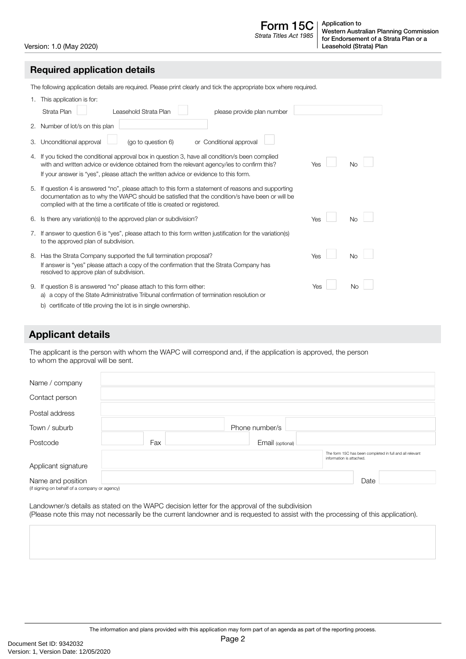Form 15C *Strata Titles Act 1985*

Version: 1.0 (May 2020)

#### Required application details

The following application details are required. Please print clearly and tick the appropriate box where required.

| This application is for:<br>1. |                                                                                                                                                                                                                                                                                  |     |           |  |
|--------------------------------|----------------------------------------------------------------------------------------------------------------------------------------------------------------------------------------------------------------------------------------------------------------------------------|-----|-----------|--|
|                                | Strata Plan<br>Leasehold Strata Plan<br>please provide plan number                                                                                                                                                                                                               |     |           |  |
|                                | 2. Number of lot/s on this plan                                                                                                                                                                                                                                                  |     |           |  |
| З.                             | Unconditional approval<br>(go to question 6)<br>or Conditional approval                                                                                                                                                                                                          |     |           |  |
|                                | 4. If you ticked the conditional approval box in question 3, have all condition/s been complied<br>with and written advice or evidence obtained from the relevant agency/ies to confirm this?                                                                                    | Yes | Nο        |  |
|                                | If your answer is "yes", please attach the written advice or evidence to this form.                                                                                                                                                                                              |     |           |  |
| 5.                             | If question 4 is answered "no", please attach to this form a statement of reasons and supporting<br>documentation as to why the WAPC should be satisfied that the condition/s have been or will be<br>complied with at the time a certificate of title is created or registered. |     |           |  |
| 6.                             | Is there any variation(s) to the approved plan or subdivision?                                                                                                                                                                                                                   | Yes | <b>No</b> |  |
|                                | 7. If answer to question 6 is "yes", please attach to this form written justification for the variation(s)<br>to the approved plan of subdivision.                                                                                                                               |     |           |  |
|                                | 8. Has the Strata Company supported the full termination proposal?<br>If answer is "yes" please attach a copy of the confirmation that the Strata Company has<br>resolved to approve plan of subdivision.                                                                        | Yes | <b>No</b> |  |
| 9.                             | If question 8 is answered "no" please attach to this form either:<br>a) a copy of the State Administrative Tribunal confirmation of termination resolution or<br>b) certificate of title proving the lot is in single ownership.                                                 | Yes | No        |  |

# Applicant details

The applicant is the person with whom the WAPC will correspond and, if the application is approved, the person to whom the approval will be sent.

| Name / company                                                     |     |                  |                                                                                      |
|--------------------------------------------------------------------|-----|------------------|--------------------------------------------------------------------------------------|
| Contact person                                                     |     |                  |                                                                                      |
| Postal address                                                     |     |                  |                                                                                      |
| Town / suburb                                                      |     | Phone number/s   |                                                                                      |
| Postcode                                                           | Fax | Email (optional) |                                                                                      |
|                                                                    |     |                  | The form 15C has been completed in full and all relevant<br>information is attached. |
| Applicant signature                                                |     |                  |                                                                                      |
| Name and position<br>(if signing on behalf of a company or agency) |     |                  | Date                                                                                 |

Landowner/s details as stated on the WAPC decision letter for the approval of the subdivision (Please note this may not necessarily be the current landowner and is requested to assist with the processing of this application).